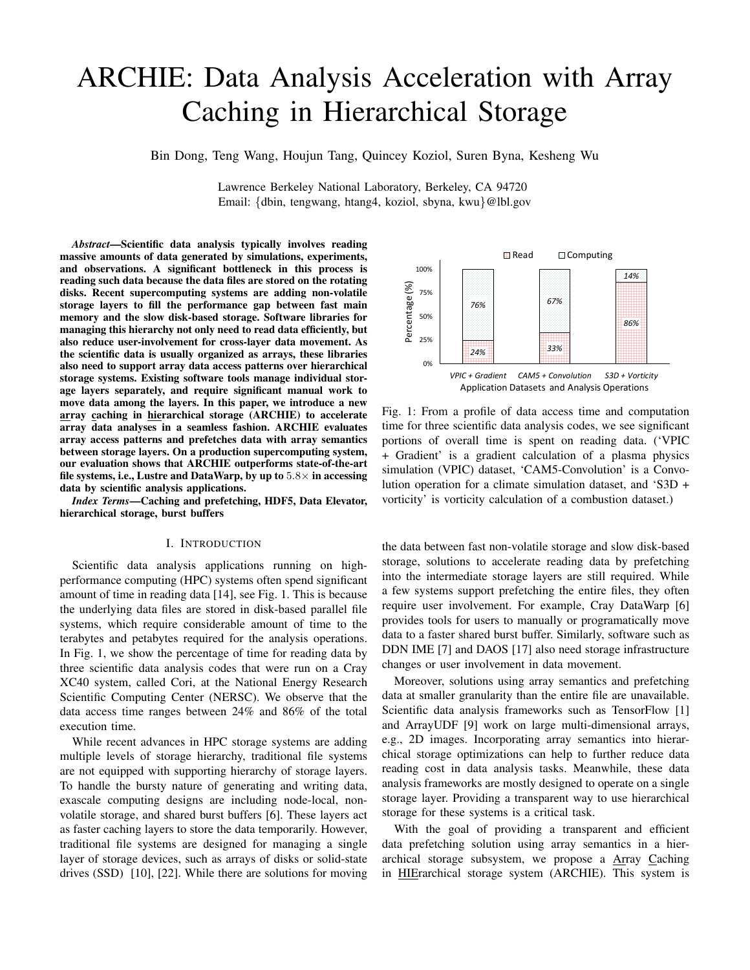# ARCHIE: Data Analysis Acceleration with Array Caching in Hierarchical Storage

Bin Dong, Teng Wang, Houjun Tang, Quincey Koziol, Suren Byna, Kesheng Wu

Lawrence Berkeley National Laboratory, Berkeley, CA 94720 Email: {dbin, tengwang, htang4, koziol, sbyna, kwu}@lbl.gov

*Abstract*—Scientific data analysis typically involves reading massive amounts of data generated by simulations, experiments, and observations. A significant bottleneck in this process is reading such data because the data files are stored on the rotating disks. Recent supercomputing systems are adding non-volatile storage layers to fill the performance gap between fast main memory and the slow disk-based storage. Software libraries for managing this hierarchy not only need to read data efficiently, but also reduce user-involvement for cross-layer data movement. As the scientific data is usually organized as arrays, these libraries also need to support array data access patterns over hierarchical storage systems. Existing software tools manage individual storage layers separately, and require significant manual work to move data among the layers. In this paper, we introduce a new array caching in hierarchical storage (ARCHIE) to accelerate array data analyses in a seamless fashion. ARCHIE evaluates array access patterns and prefetches data with array semantics between storage layers. On a production supercomputing system, our evaluation shows that ARCHIE outperforms state-of-the-art file systems, i.e., Lustre and DataWarp, by up to  $5.8\times$  in accessing data by scientific analysis applications.

*Index Terms*—Caching and prefetching, HDF5, Data Elevator, hierarchical storage, burst buffers

#### I. INTRODUCTION

Scientific data analysis applications running on highperformance computing (HPC) systems often spend significant amount of time in reading data [14], see Fig. 1. This is because the underlying data files are stored in disk-based parallel file systems, which require considerable amount of time to the terabytes and petabytes required for the analysis operations. In Fig. 1, we show the percentage of time for reading data by three scientific data analysis codes that were run on a Cray XC40 system, called Cori, at the National Energy Research Scientific Computing Center (NERSC). We observe that the data access time ranges between 24% and 86% of the total execution time.

While recent advances in HPC storage systems are adding multiple levels of storage hierarchy, traditional file systems are not equipped with supporting hierarchy of storage layers. To handle the bursty nature of generating and writing data, exascale computing designs are including node-local, nonvolatile storage, and shared burst buffers [6]. These layers act as faster caching layers to store the data temporarily. However, traditional file systems are designed for managing a single layer of storage devices, such as arrays of disks or solid-state drives (SSD) [10], [22]. While there are solutions for moving



Fig. 1: From a profile of data access time and computation time for three scientific data analysis codes, we see significant portions of overall time is spent on reading data. ('VPIC + Gradient' is a gradient calculation of a plasma physics simulation (VPIC) dataset, 'CAM5-Convolution' is a Convolution operation for a climate simulation dataset, and 'S3D + vorticity' is vorticity calculation of a combustion dataset.)

the data between fast non-volatile storage and slow disk-based storage, solutions to accelerate reading data by prefetching into the intermediate storage layers are still required. While a few systems support prefetching the entire files, they often require user involvement. For example, Cray DataWarp [6] provides tools for users to manually or programatically move data to a faster shared burst buffer. Similarly, software such as DDN IME [7] and DAOS [17] also need storage infrastructure changes or user involvement in data movement.

Moreover, solutions using array semantics and prefetching data at smaller granularity than the entire file are unavailable. Scientific data analysis frameworks such as TensorFlow [1] and ArrayUDF [9] work on large multi-dimensional arrays, e.g., 2D images. Incorporating array semantics into hierarchical storage optimizations can help to further reduce data reading cost in data analysis tasks. Meanwhile, these data analysis frameworks are mostly designed to operate on a single storage layer. Providing a transparent way to use hierarchical storage for these systems is a critical task.

With the goal of providing a transparent and efficient data prefetching solution using array semantics in a hierarchical storage subsystem, we propose a Array Caching in HIErarchical storage system (ARCHIE). This system is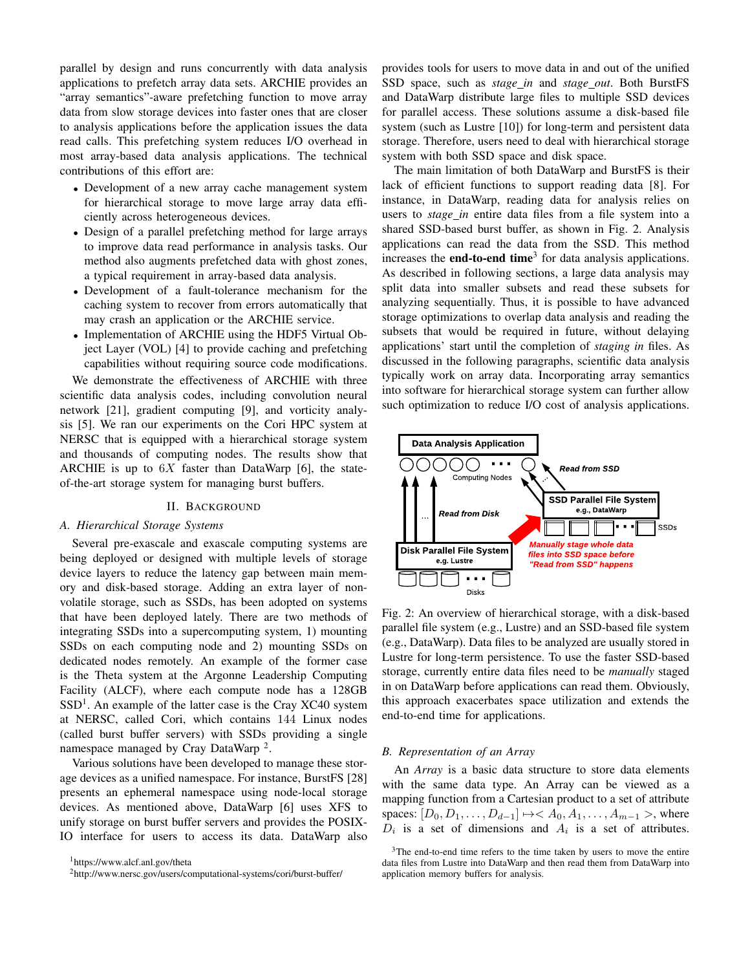parallel by design and runs concurrently with data analysis applications to prefetch array data sets. ARCHIE provides an "array semantics"-aware prefetching function to move array data from slow storage devices into faster ones that are closer to analysis applications before the application issues the data read calls. This prefetching system reduces I/O overhead in most array-based data analysis applications. The technical contributions of this effort are:

- Development of a new array cache management system for hierarchical storage to move large array data efficiently across heterogeneous devices.
- Design of a parallel prefetching method for large arrays to improve data read performance in analysis tasks. Our method also augments prefetched data with ghost zones, a typical requirement in array-based data analysis.
- Development of a fault-tolerance mechanism for the caching system to recover from errors automatically that may crash an application or the ARCHIE service.
- Implementation of ARCHIE using the HDF5 Virtual Object Layer (VOL) [4] to provide caching and prefetching capabilities without requiring source code modifications.

We demonstrate the effectiveness of ARCHIE with three scientific data analysis codes, including convolution neural network [21], gradient computing [9], and vorticity analysis [5]. We ran our experiments on the Cori HPC system at NERSC that is equipped with a hierarchical storage system and thousands of computing nodes. The results show that ARCHIE is up to  $6X$  faster than DataWarp [6], the stateof-the-art storage system for managing burst buffers.

#### II. BACKGROUND

## *A. Hierarchical Storage Systems*

Several pre-exascale and exascale computing systems are being deployed or designed with multiple levels of storage device layers to reduce the latency gap between main memory and disk-based storage. Adding an extra layer of nonvolatile storage, such as SSDs, has been adopted on systems that have been deployed lately. There are two methods of integrating SSDs into a supercomputing system, 1) mounting SSDs on each computing node and 2) mounting SSDs on dedicated nodes remotely. An example of the former case is the Theta system at the Argonne Leadership Computing Facility (ALCF), where each compute node has a 128GB SSD<sup>1</sup>. An example of the latter case is the Cray XC40 system at NERSC, called Cori, which contains 144 Linux nodes (called burst buffer servers) with SSDs providing a single namespace managed by Cray DataWarp<sup>2</sup>.

Various solutions have been developed to manage these storage devices as a unified namespace. For instance, BurstFS [28] presents an ephemeral namespace using node-local storage devices. As mentioned above, DataWarp [6] uses XFS to unify storage on burst buffer servers and provides the POSIX-IO interface for users to access its data. DataWarp also provides tools for users to move data in and out of the unified SSD space, such as *stage in* and *stage out*. Both BurstFS and DataWarp distribute large files to multiple SSD devices for parallel access. These solutions assume a disk-based file system (such as Lustre [10]) for long-term and persistent data storage. Therefore, users need to deal with hierarchical storage system with both SSD space and disk space.

The main limitation of both DataWarp and BurstFS is their lack of efficient functions to support reading data [8]. For instance, in DataWarp, reading data for analysis relies on users to *stage\_in* entire data files from a file system into a shared SSD-based burst buffer, as shown in Fig. 2. Analysis applications can read the data from the SSD. This method increases the **end-to-end time**<sup>3</sup> for data analysis applications. As described in following sections, a large data analysis may split data into smaller subsets and read these subsets for analyzing sequentially. Thus, it is possible to have advanced storage optimizations to overlap data analysis and reading the subsets that would be required in future, without delaying applications' start until the completion of *staging in* files. As discussed in the following paragraphs, scientific data analysis typically work on array data. Incorporating array semantics into software for hierarchical storage system can further allow such optimization to reduce I/O cost of analysis applications.



Fig. 2: An overview of hierarchical storage, with a disk-based parallel file system (e.g., Lustre) and an SSD-based file system (e.g., DataWarp). Data files to be analyzed are usually stored in Lustre for long-term persistence. To use the faster SSD-based storage, currently entire data files need to be *manually* staged in on DataWarp before applications can read them. Obviously, this approach exacerbates space utilization and extends the end-to-end time for applications.

#### *B. Representation of an Array*

An *Array* is a basic data structure to store data elements with the same data type. An Array can be viewed as a mapping function from a Cartesian product to a set of attribute spaces:  $[D_0, D_1, \ldots, D_{d-1}] \mapsto A_0, A_1, \ldots, A_{m-1} >$ , where  $D_i$  is a set of dimensions and  $A_i$  is a set of attributes.

<sup>1</sup>https://www.alcf.anl.gov/theta

<sup>2</sup>http://www.nersc.gov/users/computational-systems/cori/burst-buffer/

 $3$ The end-to-end time refers to the time taken by users to move the entire data files from Lustre into DataWarp and then read them from DataWarp into application memory buffers for analysis.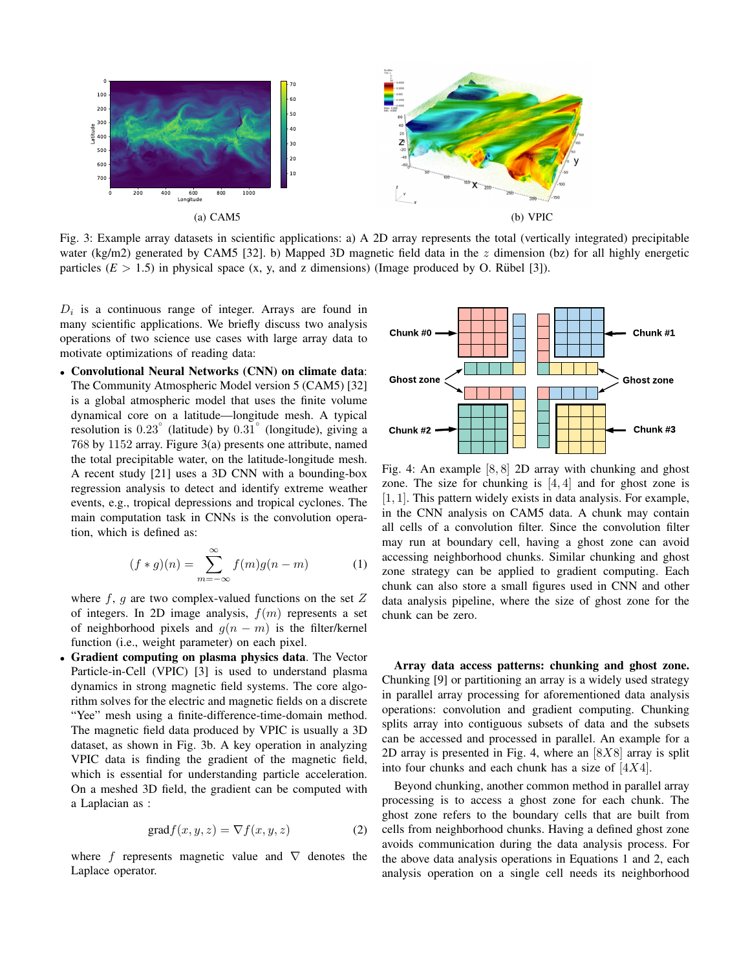

Fig. 3: Example array datasets in scientific applications: a) A 2D array represents the total (vertically integrated) precipitable water (kg/m2) generated by CAM5 [32]. b) Mapped 3D magnetic field data in the  $z$  dimension (bz) for all highly energetic particles  $(E > 1.5)$  in physical space  $(x, y, and z$  dimensions) (Image produced by O. Rübel [3]).

 $D_i$  is a continuous range of integer. Arrays are found in many scientific applications. We briefly discuss two analysis operations of two science use cases with large array data to motivate optimizations of reading data:

• Convolutional Neural Networks (CNN) on climate data: The Community Atmospheric Model version 5 (CAM5) [32] is a global atmospheric model that uses the finite volume dynamical core on a latitude—longitude mesh. A typical resolution is  $0.23^\circ$  (latitude) by  $0.31^\circ$  (longitude), giving a 768 by 1152 array. Figure 3(a) presents one attribute, named the total precipitable water, on the latitude-longitude mesh. A recent study [21] uses a 3D CNN with a bounding-box regression analysis to detect and identify extreme weather events, e.g., tropical depressions and tropical cyclones. The main computation task in CNNs is the convolution operation, which is defined as:

$$
(f * g)(n) = \sum_{m = -\infty}^{\infty} f(m)g(n - m)
$$
 (1)

where  $f$ ,  $g$  are two complex-valued functions on the set  $Z$ of integers. In 2D image analysis,  $f(m)$  represents a set of neighborhood pixels and  $g(n - m)$  is the filter/kernel function (i.e., weight parameter) on each pixel.

• Gradient computing on plasma physics data. The Vector Particle-in-Cell (VPIC) [3] is used to understand plasma dynamics in strong magnetic field systems. The core algorithm solves for the electric and magnetic fields on a discrete "Yee" mesh using a finite-difference-time-domain method. The magnetic field data produced by VPIC is usually a 3D dataset, as shown in Fig. 3b. A key operation in analyzing VPIC data is finding the gradient of the magnetic field, which is essential for understanding particle acceleration. On a meshed 3D field, the gradient can be computed with a Laplacian as :

$$
\text{grad} f(x, y, z) = \nabla f(x, y, z) \tag{2}
$$

where f represents magnetic value and  $\nabla$  denotes the Laplace operator.



Fig. 4: An example [8, 8] 2D array with chunking and ghost zone. The size for chunking is  $[4, 4]$  and for ghost zone is [1, 1]. This pattern widely exists in data analysis. For example, in the CNN analysis on CAM5 data. A chunk may contain all cells of a convolution filter. Since the convolution filter may run at boundary cell, having a ghost zone can avoid accessing neighborhood chunks. Similar chunking and ghost zone strategy can be applied to gradient computing. Each chunk can also store a small figures used in CNN and other data analysis pipeline, where the size of ghost zone for the chunk can be zero.

Array data access patterns: chunking and ghost zone. Chunking [9] or partitioning an array is a widely used strategy in parallel array processing for aforementioned data analysis operations: convolution and gradient computing. Chunking splits array into contiguous subsets of data and the subsets can be accessed and processed in parallel. An example for a 2D array is presented in Fig. 4, where an  $[8X8]$  array is split into four chunks and each chunk has a size of  $[4X4]$ .

Beyond chunking, another common method in parallel array processing is to access a ghost zone for each chunk. The ghost zone refers to the boundary cells that are built from cells from neighborhood chunks. Having a defined ghost zone avoids communication during the data analysis process. For the above data analysis operations in Equations 1 and 2, each analysis operation on a single cell needs its neighborhood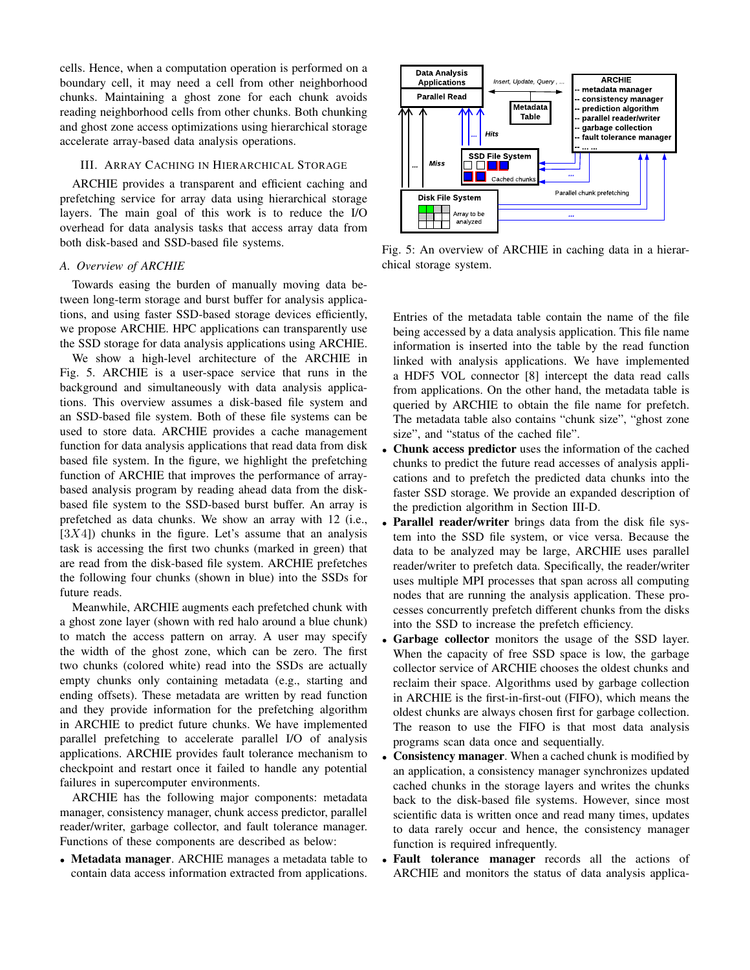cells. Hence, when a computation operation is performed on a boundary cell, it may need a cell from other neighborhood chunks. Maintaining a ghost zone for each chunk avoids reading neighborhood cells from other chunks. Both chunking and ghost zone access optimizations using hierarchical storage accelerate array-based data analysis operations.

## III. ARRAY CACHING IN HIERARCHICAL STORAGE

ARCHIE provides a transparent and efficient caching and prefetching service for array data using hierarchical storage layers. The main goal of this work is to reduce the I/O overhead for data analysis tasks that access array data from both disk-based and SSD-based file systems.

### *A. Overview of ARCHIE*

Towards easing the burden of manually moving data between long-term storage and burst buffer for analysis applications, and using faster SSD-based storage devices efficiently, we propose ARCHIE. HPC applications can transparently use the SSD storage for data analysis applications using ARCHIE.

We show a high-level architecture of the ARCHIE in Fig. 5. ARCHIE is a user-space service that runs in the background and simultaneously with data analysis applications. This overview assumes a disk-based file system and an SSD-based file system. Both of these file systems can be used to store data. ARCHIE provides a cache management function for data analysis applications that read data from disk based file system. In the figure, we highlight the prefetching function of ARCHIE that improves the performance of arraybased analysis program by reading ahead data from the diskbased file system to the SSD-based burst buffer. An array is prefetched as data chunks. We show an array with 12 (i.e.,  $[3X4]$ ) chunks in the figure. Let's assume that an analysis task is accessing the first two chunks (marked in green) that are read from the disk-based file system. ARCHIE prefetches the following four chunks (shown in blue) into the SSDs for future reads.

Meanwhile, ARCHIE augments each prefetched chunk with a ghost zone layer (shown with red halo around a blue chunk) to match the access pattern on array. A user may specify the width of the ghost zone, which can be zero. The first two chunks (colored white) read into the SSDs are actually empty chunks only containing metadata (e.g., starting and ending offsets). These metadata are written by read function and they provide information for the prefetching algorithm in ARCHIE to predict future chunks. We have implemented parallel prefetching to accelerate parallel I/O of analysis applications. ARCHIE provides fault tolerance mechanism to checkpoint and restart once it failed to handle any potential failures in supercomputer environments.

ARCHIE has the following major components: metadata manager, consistency manager, chunk access predictor, parallel reader/writer, garbage collector, and fault tolerance manager. Functions of these components are described as below:

• Metadata manager. ARCHIE manages a metadata table to contain data access information extracted from applications.



Fig. 5: An overview of ARCHIE in caching data in a hierarchical storage system.

Entries of the metadata table contain the name of the file being accessed by a data analysis application. This file name information is inserted into the table by the read function linked with analysis applications. We have implemented a HDF5 VOL connector [8] intercept the data read calls from applications. On the other hand, the metadata table is queried by ARCHIE to obtain the file name for prefetch. The metadata table also contains "chunk size", "ghost zone size", and "status of the cached file".

- Chunk access predictor uses the information of the cached chunks to predict the future read accesses of analysis applications and to prefetch the predicted data chunks into the faster SSD storage. We provide an expanded description of the prediction algorithm in Section III-D.
- **Parallel reader/writer** brings data from the disk file system into the SSD file system, or vice versa. Because the data to be analyzed may be large, ARCHIE uses parallel reader/writer to prefetch data. Specifically, the reader/writer uses multiple MPI processes that span across all computing nodes that are running the analysis application. These processes concurrently prefetch different chunks from the disks into the SSD to increase the prefetch efficiency.
- Garbage collector monitors the usage of the SSD layer. When the capacity of free SSD space is low, the garbage collector service of ARCHIE chooses the oldest chunks and reclaim their space. Algorithms used by garbage collection in ARCHIE is the first-in-first-out (FIFO), which means the oldest chunks are always chosen first for garbage collection. The reason to use the FIFO is that most data analysis programs scan data once and sequentially.
- Consistency manager. When a cached chunk is modified by an application, a consistency manager synchronizes updated cached chunks in the storage layers and writes the chunks back to the disk-based file systems. However, since most scientific data is written once and read many times, updates to data rarely occur and hence, the consistency manager function is required infrequently.
- Fault tolerance manager records all the actions of ARCHIE and monitors the status of data analysis applica-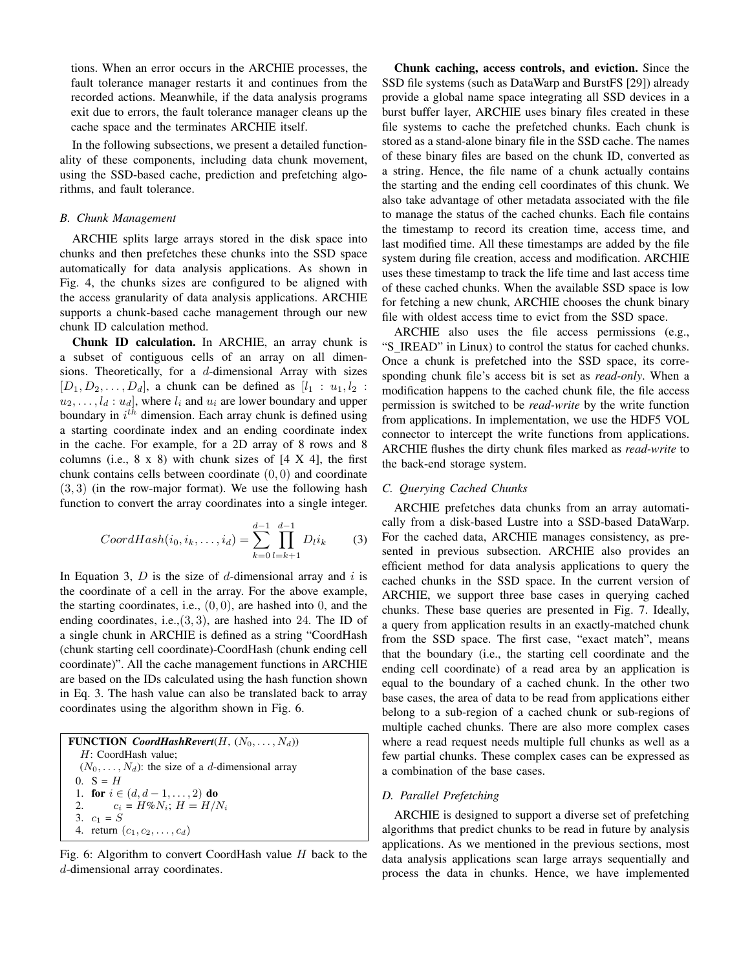tions. When an error occurs in the ARCHIE processes, the fault tolerance manager restarts it and continues from the recorded actions. Meanwhile, if the data analysis programs exit due to errors, the fault tolerance manager cleans up the cache space and the terminates ARCHIE itself.

In the following subsections, we present a detailed functionality of these components, including data chunk movement, using the SSD-based cache, prediction and prefetching algorithms, and fault tolerance.

#### *B. Chunk Management*

ARCHIE splits large arrays stored in the disk space into chunks and then prefetches these chunks into the SSD space automatically for data analysis applications. As shown in Fig. 4, the chunks sizes are configured to be aligned with the access granularity of data analysis applications. ARCHIE supports a chunk-based cache management through our new chunk ID calculation method.

Chunk ID calculation. In ARCHIE, an array chunk is a subset of contiguous cells of an array on all dimensions. Theoretically, for a d-dimensional Array with sizes  $[D_1, D_2, \ldots, D_d]$ , a chunk can be defined as  $[l_1 : u_1, l_2 :$  $u_2, \ldots, l_d : u_d$ , where  $l_i$  and  $u_i$  are lower boundary and upper boundary in  $i^{th}$  dimension. Each array chunk is defined using a starting coordinate index and an ending coordinate index in the cache. For example, for a 2D array of 8 rows and 8 columns (i.e.,  $8 \times 8$ ) with chunk sizes of  $[4 \times 4]$ , the first chunk contains cells between coordinate  $(0, 0)$  and coordinate (3, 3) (in the row-major format). We use the following hash function to convert the array coordinates into a single integer.

$$
CoordHash(i_0, i_k, \dots, i_d) = \sum_{k=0}^{d-1} \prod_{l=k+1}^{d-1} D_l i_k \tag{3}
$$

In Equation 3,  $D$  is the size of  $d$ -dimensional array and  $i$  is the coordinate of a cell in the array. For the above example, the starting coordinates, i.e.,  $(0, 0)$ , are hashed into 0, and the ending coordinates, i.e., $(3, 3)$ , are hashed into 24. The ID of a single chunk in ARCHIE is defined as a string "CoordHash (chunk starting cell coordinate)-CoordHash (chunk ending cell coordinate)". All the cache management functions in ARCHIE are based on the IDs calculated using the hash function shown in Eq. 3. The hash value can also be translated back to array coordinates using the algorithm shown in Fig. 6.

FUNCTION *CoordHashRevert*( $H$ ,  $(N_0, \ldots, N_d)$ ) H: CoordHash value;  $(N_0, \ldots, N_d)$ : the size of a *d*-dimensional array 0.  $S = H$ 1. for  $i \in (d, d-1, \ldots, 2)$  do 2.  $c_i = H\%N_i; H = H/N_i$ 3.  $c_1 = S$ 4. return  $(c_1, c_2, \ldots, c_d)$ 

Fig. 6: Algorithm to convert CoordHash value  $H$  back to the d-dimensional array coordinates.

Chunk caching, access controls, and eviction. Since the SSD file systems (such as DataWarp and BurstFS [29]) already provide a global name space integrating all SSD devices in a burst buffer layer, ARCHIE uses binary files created in these file systems to cache the prefetched chunks. Each chunk is stored as a stand-alone binary file in the SSD cache. The names of these binary files are based on the chunk ID, converted as a string. Hence, the file name of a chunk actually contains the starting and the ending cell coordinates of this chunk. We also take advantage of other metadata associated with the file to manage the status of the cached chunks. Each file contains the timestamp to record its creation time, access time, and last modified time. All these timestamps are added by the file system during file creation, access and modification. ARCHIE uses these timestamp to track the life time and last access time of these cached chunks. When the available SSD space is low for fetching a new chunk, ARCHIE chooses the chunk binary file with oldest access time to evict from the SSD space.

ARCHIE also uses the file access permissions (e.g., "S IREAD" in Linux) to control the status for cached chunks. Once a chunk is prefetched into the SSD space, its corresponding chunk file's access bit is set as *read-only*. When a modification happens to the cached chunk file, the file access permission is switched to be *read-write* by the write function from applications. In implementation, we use the HDF5 VOL connector to intercept the write functions from applications. ARCHIE flushes the dirty chunk files marked as *read-write* to the back-end storage system.

# *C. Querying Cached Chunks*

ARCHIE prefetches data chunks from an array automatically from a disk-based Lustre into a SSD-based DataWarp. For the cached data, ARCHIE manages consistency, as presented in previous subsection. ARCHIE also provides an efficient method for data analysis applications to query the cached chunks in the SSD space. In the current version of ARCHIE, we support three base cases in querying cached chunks. These base queries are presented in Fig. 7. Ideally, a query from application results in an exactly-matched chunk from the SSD space. The first case, "exact match", means that the boundary (i.e., the starting cell coordinate and the ending cell coordinate) of a read area by an application is equal to the boundary of a cached chunk. In the other two base cases, the area of data to be read from applications either belong to a sub-region of a cached chunk or sub-regions of multiple cached chunks. There are also more complex cases where a read request needs multiple full chunks as well as a few partial chunks. These complex cases can be expressed as a combination of the base cases.

## *D. Parallel Prefetching*

ARCHIE is designed to support a diverse set of prefetching algorithms that predict chunks to be read in future by analysis applications. As we mentioned in the previous sections, most data analysis applications scan large arrays sequentially and process the data in chunks. Hence, we have implemented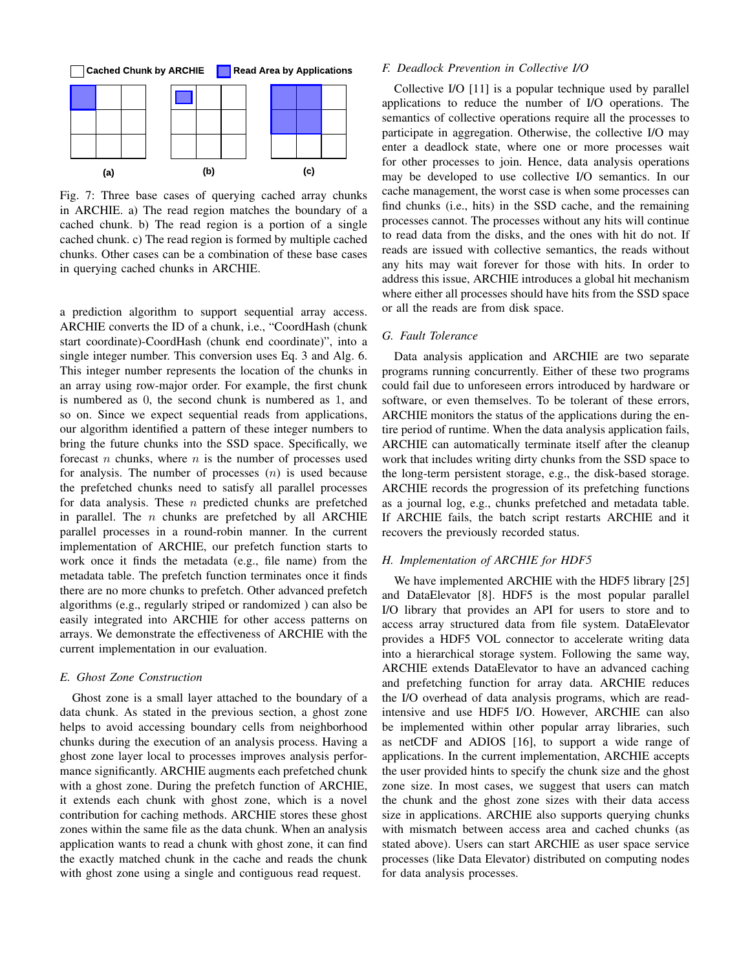

Fig. 7: Three base cases of querying cached array chunks in ARCHIE. a) The read region matches the boundary of a cached chunk. b) The read region is a portion of a single cached chunk. c) The read region is formed by multiple cached chunks. Other cases can be a combination of these base cases in querying cached chunks in ARCHIE.

a prediction algorithm to support sequential array access. ARCHIE converts the ID of a chunk, i.e., "CoordHash (chunk start coordinate)-CoordHash (chunk end coordinate)", into a single integer number. This conversion uses Eq. 3 and Alg. 6. This integer number represents the location of the chunks in an array using row-major order. For example, the first chunk is numbered as 0, the second chunk is numbered as 1, and so on. Since we expect sequential reads from applications, our algorithm identified a pattern of these integer numbers to bring the future chunks into the SSD space. Specifically, we forecast *n* chunks, where *n* is the number of processes used for analysis. The number of processes  $(n)$  is used because the prefetched chunks need to satisfy all parallel processes for data analysis. These  $n$  predicted chunks are prefetched in parallel. The  $n$  chunks are prefetched by all ARCHIE parallel processes in a round-robin manner. In the current implementation of ARCHIE, our prefetch function starts to work once it finds the metadata (e.g., file name) from the metadata table. The prefetch function terminates once it finds there are no more chunks to prefetch. Other advanced prefetch algorithms (e.g., regularly striped or randomized ) can also be easily integrated into ARCHIE for other access patterns on arrays. We demonstrate the effectiveness of ARCHIE with the current implementation in our evaluation.

#### *E. Ghost Zone Construction*

Ghost zone is a small layer attached to the boundary of a data chunk. As stated in the previous section, a ghost zone helps to avoid accessing boundary cells from neighborhood chunks during the execution of an analysis process. Having a ghost zone layer local to processes improves analysis performance significantly. ARCHIE augments each prefetched chunk with a ghost zone. During the prefetch function of ARCHIE, it extends each chunk with ghost zone, which is a novel contribution for caching methods. ARCHIE stores these ghost zones within the same file as the data chunk. When an analysis application wants to read a chunk with ghost zone, it can find the exactly matched chunk in the cache and reads the chunk with ghost zone using a single and contiguous read request.

## *F. Deadlock Prevention in Collective I/O*

Collective I/O [11] is a popular technique used by parallel applications to reduce the number of I/O operations. The semantics of collective operations require all the processes to participate in aggregation. Otherwise, the collective I/O may enter a deadlock state, where one or more processes wait for other processes to join. Hence, data analysis operations may be developed to use collective I/O semantics. In our cache management, the worst case is when some processes can find chunks (i.e., hits) in the SSD cache, and the remaining processes cannot. The processes without any hits will continue to read data from the disks, and the ones with hit do not. If reads are issued with collective semantics, the reads without any hits may wait forever for those with hits. In order to address this issue, ARCHIE introduces a global hit mechanism where either all processes should have hits from the SSD space or all the reads are from disk space.

## *G. Fault Tolerance*

Data analysis application and ARCHIE are two separate programs running concurrently. Either of these two programs could fail due to unforeseen errors introduced by hardware or software, or even themselves. To be tolerant of these errors, ARCHIE monitors the status of the applications during the entire period of runtime. When the data analysis application fails, ARCHIE can automatically terminate itself after the cleanup work that includes writing dirty chunks from the SSD space to the long-term persistent storage, e.g., the disk-based storage. ARCHIE records the progression of its prefetching functions as a journal log, e.g., chunks prefetched and metadata table. If ARCHIE fails, the batch script restarts ARCHIE and it recovers the previously recorded status.

## *H. Implementation of ARCHIE for HDF5*

We have implemented ARCHIE with the HDF5 library [25] and DataElevator [8]. HDF5 is the most popular parallel I/O library that provides an API for users to store and to access array structured data from file system. DataElevator provides a HDF5 VOL connector to accelerate writing data into a hierarchical storage system. Following the same way, ARCHIE extends DataElevator to have an advanced caching and prefetching function for array data. ARCHIE reduces the I/O overhead of data analysis programs, which are readintensive and use HDF5 I/O. However, ARCHIE can also be implemented within other popular array libraries, such as netCDF and ADIOS [16], to support a wide range of applications. In the current implementation, ARCHIE accepts the user provided hints to specify the chunk size and the ghost zone size. In most cases, we suggest that users can match the chunk and the ghost zone sizes with their data access size in applications. ARCHIE also supports querying chunks with mismatch between access area and cached chunks (as stated above). Users can start ARCHIE as user space service processes (like Data Elevator) distributed on computing nodes for data analysis processes.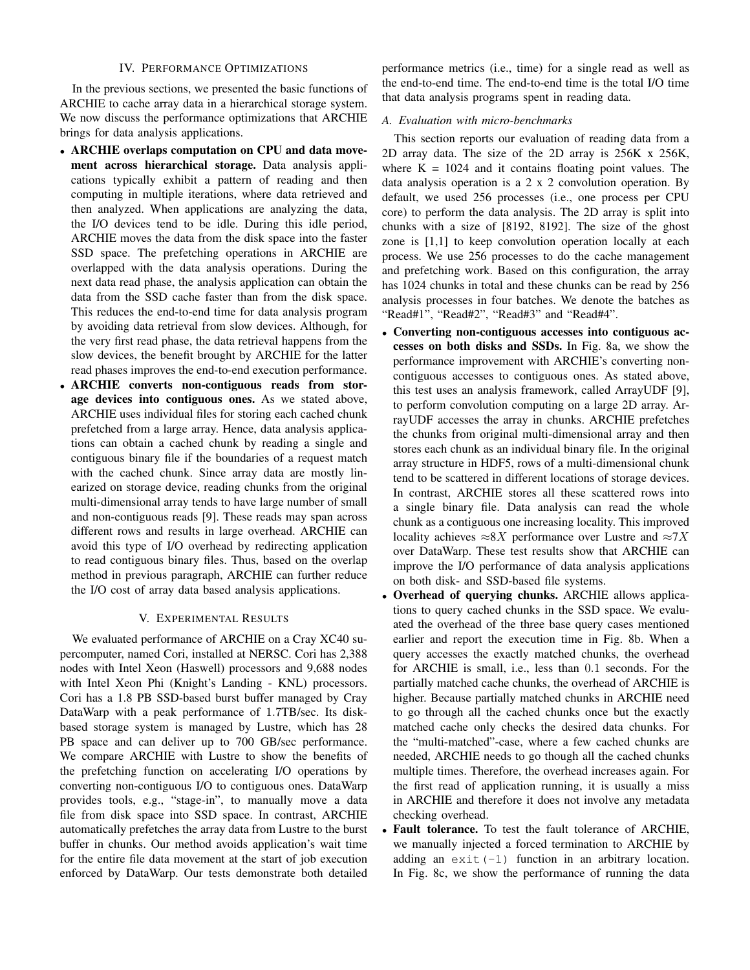## IV. PERFORMANCE OPTIMIZATIONS

In the previous sections, we presented the basic functions of ARCHIE to cache array data in a hierarchical storage system. We now discuss the performance optimizations that ARCHIE brings for data analysis applications.

- ARCHIE overlaps computation on CPU and data movement across hierarchical storage. Data analysis applications typically exhibit a pattern of reading and then computing in multiple iterations, where data retrieved and then analyzed. When applications are analyzing the data, the I/O devices tend to be idle. During this idle period, ARCHIE moves the data from the disk space into the faster SSD space. The prefetching operations in ARCHIE are overlapped with the data analysis operations. During the next data read phase, the analysis application can obtain the data from the SSD cache faster than from the disk space. This reduces the end-to-end time for data analysis program by avoiding data retrieval from slow devices. Although, for the very first read phase, the data retrieval happens from the slow devices, the benefit brought by ARCHIE for the latter read phases improves the end-to-end execution performance.
- ARCHIE converts non-contiguous reads from storage devices into contiguous ones. As we stated above, ARCHIE uses individual files for storing each cached chunk prefetched from a large array. Hence, data analysis applications can obtain a cached chunk by reading a single and contiguous binary file if the boundaries of a request match with the cached chunk. Since array data are mostly linearized on storage device, reading chunks from the original multi-dimensional array tends to have large number of small and non-contiguous reads [9]. These reads may span across different rows and results in large overhead. ARCHIE can avoid this type of I/O overhead by redirecting application to read contiguous binary files. Thus, based on the overlap method in previous paragraph, ARCHIE can further reduce the I/O cost of array data based analysis applications.

#### V. EXPERIMENTAL RESULTS

We evaluated performance of ARCHIE on a Cray XC40 supercomputer, named Cori, installed at NERSC. Cori has 2,388 nodes with Intel Xeon (Haswell) processors and 9,688 nodes with Intel Xeon Phi (Knight's Landing - KNL) processors. Cori has a 1.8 PB SSD-based burst buffer managed by Cray DataWarp with a peak performance of 1.7TB/sec. Its diskbased storage system is managed by Lustre, which has 28 PB space and can deliver up to 700 GB/sec performance. We compare ARCHIE with Lustre to show the benefits of the prefetching function on accelerating I/O operations by converting non-contiguous I/O to contiguous ones. DataWarp provides tools, e.g., "stage-in", to manually move a data file from disk space into SSD space. In contrast, ARCHIE automatically prefetches the array data from Lustre to the burst buffer in chunks. Our method avoids application's wait time for the entire file data movement at the start of job execution enforced by DataWarp. Our tests demonstrate both detailed performance metrics (i.e., time) for a single read as well as the end-to-end time. The end-to-end time is the total I/O time that data analysis programs spent in reading data.

### *A. Evaluation with micro-benchmarks*

This section reports our evaluation of reading data from a 2D array data. The size of the 2D array is 256K x 256K, where  $K = 1024$  and it contains floating point values. The data analysis operation is a 2 x 2 convolution operation. By default, we used 256 processes (i.e., one process per CPU core) to perform the data analysis. The 2D array is split into chunks with a size of [8192, 8192]. The size of the ghost zone is [1,1] to keep convolution operation locally at each process. We use 256 processes to do the cache management and prefetching work. Based on this configuration, the array has 1024 chunks in total and these chunks can be read by 256 analysis processes in four batches. We denote the batches as "Read#1", "Read#2", "Read#3" and "Read#4".

- Converting non-contiguous accesses into contiguous accesses on both disks and SSDs. In Fig. 8a, we show the performance improvement with ARCHIE's converting noncontiguous accesses to contiguous ones. As stated above, this test uses an analysis framework, called ArrayUDF [9], to perform convolution computing on a large 2D array. ArrayUDF accesses the array in chunks. ARCHIE prefetches the chunks from original multi-dimensional array and then stores each chunk as an individual binary file. In the original array structure in HDF5, rows of a multi-dimensional chunk tend to be scattered in different locations of storage devices. In contrast, ARCHIE stores all these scattered rows into a single binary file. Data analysis can read the whole chunk as a contiguous one increasing locality. This improved locality achieves  $\approx 8X$  performance over Lustre and  $\approx 7X$ over DataWarp. These test results show that ARCHIE can improve the I/O performance of data analysis applications on both disk- and SSD-based file systems.
- Overhead of querying chunks. ARCHIE allows applications to query cached chunks in the SSD space. We evaluated the overhead of the three base query cases mentioned earlier and report the execution time in Fig. 8b. When a query accesses the exactly matched chunks, the overhead for ARCHIE is small, i.e., less than 0.1 seconds. For the partially matched cache chunks, the overhead of ARCHIE is higher. Because partially matched chunks in ARCHIE need to go through all the cached chunks once but the exactly matched cache only checks the desired data chunks. For the "multi-matched"-case, where a few cached chunks are needed, ARCHIE needs to go though all the cached chunks multiple times. Therefore, the overhead increases again. For the first read of application running, it is usually a miss in ARCHIE and therefore it does not involve any metadata checking overhead.
- Fault tolerance. To test the fault tolerance of ARCHIE, we manually injected a forced termination to ARCHIE by adding an  $ext{ext}(-1)$  function in an arbitrary location. In Fig. 8c, we show the performance of running the data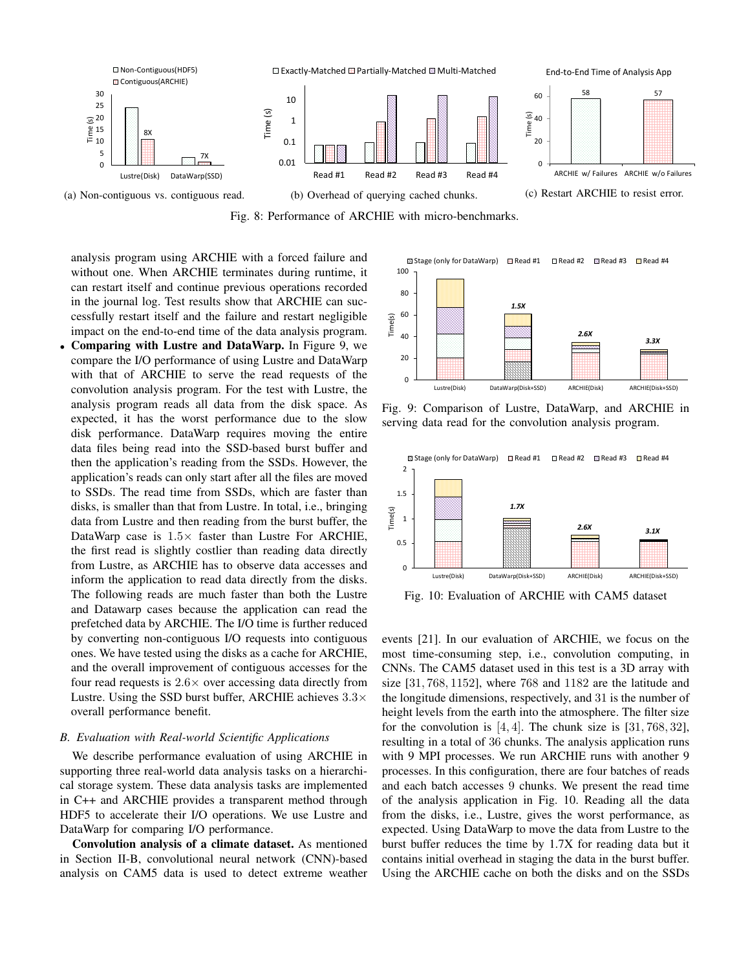

Fig. 8: Performance of ARCHIE with micro-benchmarks.

Time(s)

analysis program using ARCHIE with a forced failure and without one. When ARCHIE terminates during runtime, it can restart itself and continue previous operations recorded in the journal log. Test results show that ARCHIE can successfully restart itself and the failure and restart negligible impact on the end-to-end time of the data analysis program.

• Comparing with Lustre and DataWarp. In Figure 9, we compare the I/O performance of using Lustre and DataWarp with that of ARCHIE to serve the read requests of the convolution analysis program. For the test with Lustre, the analysis program reads all data from the disk space. As expected, it has the worst performance due to the slow disk performance. DataWarp requires moving the entire data files being read into the SSD-based burst buffer and then the application's reading from the SSDs. However, the application's reads can only start after all the files are moved to SSDs. The read time from SSDs, which are faster than disks, is smaller than that from Lustre. In total, i.e., bringing data from Lustre and then reading from the burst buffer, the DataWarp case is  $1.5\times$  faster than Lustre For ARCHIE, the first read is slightly costlier than reading data directly from Lustre, as ARCHIE has to observe data accesses and inform the application to read data directly from the disks. The following reads are much faster than both the Lustre and Datawarp cases because the application can read the prefetched data by ARCHIE. The I/O time is further reduced by converting non-contiguous I/O requests into contiguous ones. We have tested using the disks as a cache for ARCHIE, and the overall improvement of contiguous accesses for the four read requests is  $2.6 \times$  over accessing data directly from Lustre. Using the SSD burst buffer, ARCHIE achieves  $3.3\times$ overall performance benefit.

## *B. Evaluation with Real-world Scientific Applications*

We describe performance evaluation of using ARCHIE in supporting three real-world data analysis tasks on a hierarchical storage system. These data analysis tasks are implemented in C++ and ARCHIE provides a transparent method through HDF5 to accelerate their I/O operations. We use Lustre and DataWarp for comparing I/O performance.

Convolution analysis of a climate dataset. As mentioned in Section II-B, convolutional neural network (CNN)-based analysis on CAM5 data is used to detect extreme weather

Fig. 9: Comparison of Lustre, DataWarp, and ARCHIE in serving data read for the convolution analysis program.

Lustre(Disk) DataWarp(Disk+SSD) ARCHIE(Disk) ARCHIE(Disk+SSD)

*2.6X*

*3.3X*

*1.5X*

Stage (only for DataWarp) Read #1 Read #2 Read #3 Read #4



Fig. 10: Evaluation of ARCHIE with CAM5 dataset

events [21]. In our evaluation of ARCHIE, we focus on the most time-consuming step, i.e., convolution computing, in CNNs. The CAM5 dataset used in this test is a 3D array with size [31, 768, 1152], where 768 and 1182 are the latitude and the longitude dimensions, respectively, and 31 is the number of height levels from the earth into the atmosphere. The filter size for the convolution is  $[4, 4]$ . The chunk size is  $[31, 768, 32]$ , resulting in a total of 36 chunks. The analysis application runs with 9 MPI processes. We run ARCHIE runs with another 9 processes. In this configuration, there are four batches of reads and each batch accesses 9 chunks. We present the read time of the analysis application in Fig. 10. Reading all the data from the disks, i.e., Lustre, gives the worst performance, as expected. Using DataWarp to move the data from Lustre to the burst buffer reduces the time by 1.7X for reading data but it contains initial overhead in staging the data in the burst buffer. Using the ARCHIE cache on both the disks and on the SSDs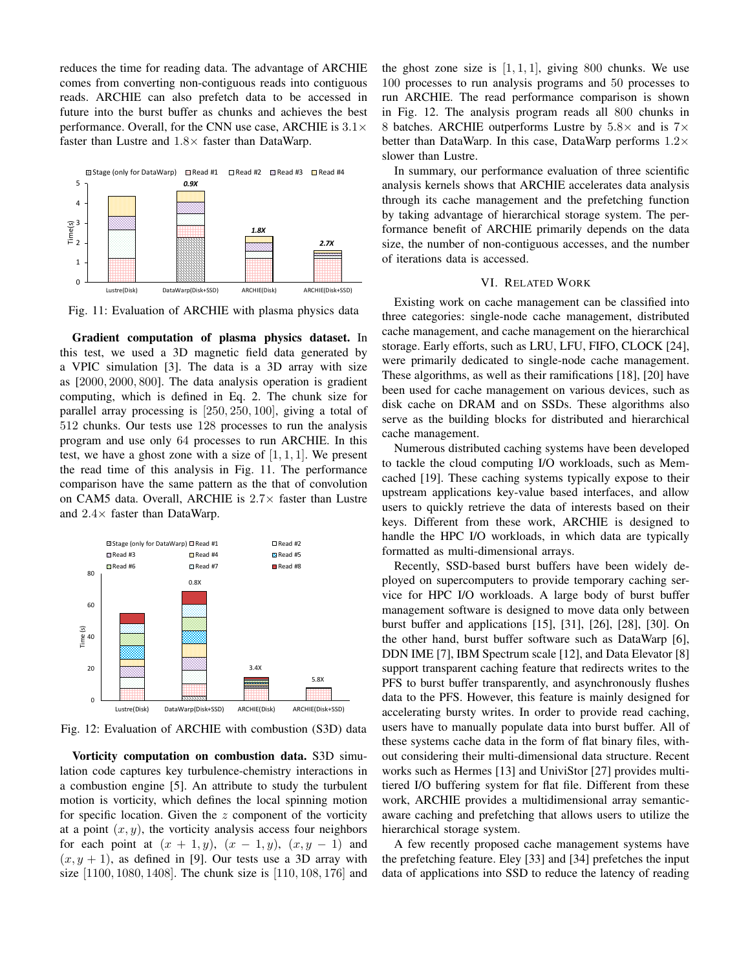reduces the time for reading data. The advantage of ARCHIE comes from converting non-contiguous reads into contiguous reads. ARCHIE can also prefetch data to be accessed in future into the burst buffer as chunks and achieves the best performance. Overall, for the CNN use case, ARCHIE is  $3.1\times$ faster than Lustre and  $1.8\times$  faster than DataWarp.



Fig. 11: Evaluation of ARCHIE with plasma physics data

Gradient computation of plasma physics dataset. In this test, we used a 3D magnetic field data generated by a VPIC simulation [3]. The data is a 3D array with size as [2000, 2000, 800]. The data analysis operation is gradient computing, which is defined in Eq. 2. The chunk size for parallel array processing is [250, 250, 100], giving a total of 512 chunks. Our tests use 128 processes to run the analysis program and use only 64 processes to run ARCHIE. In this test, we have a ghost zone with a size of  $[1, 1, 1]$ . We present the read time of this analysis in Fig. 11. The performance comparison have the same pattern as the that of convolution on CAM5 data. Overall, ARCHIE is 2.7× faster than Lustre and  $2.4\times$  faster than DataWarp.



Fig. 12: Evaluation of ARCHIE with combustion (S3D) data

Vorticity computation on combustion data. S3D simulation code captures key turbulence-chemistry interactions in a combustion engine [5]. An attribute to study the turbulent motion is vorticity, which defines the local spinning motion for specific location. Given the  $z$  component of the vorticity at a point  $(x, y)$ , the vorticity analysis access four neighbors for each point at  $(x + 1, y)$ ,  $(x - 1, y)$ ,  $(x, y - 1)$  and  $(x, y + 1)$ , as defined in [9]. Our tests use a 3D array with size [1100, 1080, 1408]. The chunk size is [110, 108, 176] and the ghost zone size is  $[1, 1, 1]$ , giving 800 chunks. We use 100 processes to run analysis programs and 50 processes to run ARCHIE. The read performance comparison is shown in Fig. 12. The analysis program reads all 800 chunks in 8 batches. ARCHIE outperforms Lustre by  $5.8\times$  and is  $7\times$ better than DataWarp. In this case, DataWarp performs  $1.2\times$ slower than Lustre.

In summary, our performance evaluation of three scientific analysis kernels shows that ARCHIE accelerates data analysis through its cache management and the prefetching function by taking advantage of hierarchical storage system. The performance benefit of ARCHIE primarily depends on the data size, the number of non-contiguous accesses, and the number of iterations data is accessed.

## VI. RELATED WORK

Existing work on cache management can be classified into three categories: single-node cache management, distributed cache management, and cache management on the hierarchical storage. Early efforts, such as LRU, LFU, FIFO, CLOCK [24], were primarily dedicated to single-node cache management. These algorithms, as well as their ramifications [18], [20] have been used for cache management on various devices, such as disk cache on DRAM and on SSDs. These algorithms also serve as the building blocks for distributed and hierarchical cache management.

Numerous distributed caching systems have been developed to tackle the cloud computing I/O workloads, such as Memcached [19]. These caching systems typically expose to their upstream applications key-value based interfaces, and allow users to quickly retrieve the data of interests based on their keys. Different from these work, ARCHIE is designed to handle the HPC I/O workloads, in which data are typically formatted as multi-dimensional arrays.

Recently, SSD-based burst buffers have been widely deployed on supercomputers to provide temporary caching service for HPC I/O workloads. A large body of burst buffer management software is designed to move data only between burst buffer and applications [15], [31], [26], [28], [30]. On the other hand, burst buffer software such as DataWarp [6], DDN IME [7], IBM Spectrum scale [12], and Data Elevator [8] support transparent caching feature that redirects writes to the PFS to burst buffer transparently, and asynchronously flushes data to the PFS. However, this feature is mainly designed for accelerating bursty writes. In order to provide read caching, users have to manually populate data into burst buffer. All of these systems cache data in the form of flat binary files, without considering their multi-dimensional data structure. Recent works such as Hermes [13] and UniviStor [27] provides multitiered I/O buffering system for flat file. Different from these work, ARCHIE provides a multidimensional array semanticaware caching and prefetching that allows users to utilize the hierarchical storage system.

A few recently proposed cache management systems have the prefetching feature. Eley [33] and [34] prefetches the input data of applications into SSD to reduce the latency of reading